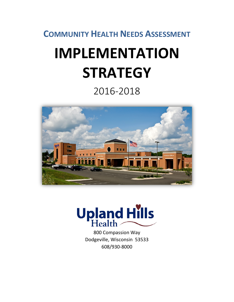## **COMMUNITY HEALTH NEEDS ASSESSMENT**

# **IMPLEMENTATION STRATEGY**

# 2016-2018





800 Compassion Way Dodgeville, Wisconsin 53533 608/930-8000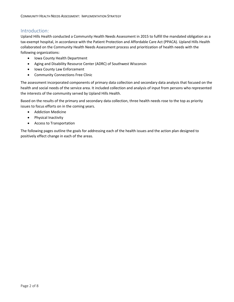#### Introduction:

Upland Hills Health conducted a Community Health Needs Assessment in 2015 to fulfill the mandated obligation as a tax-exempt hospital, in accordance with the Patient Protection and Affordable Care Act (PPACA). Upland Hills Health collaborated on the Community Health Needs Assessment process and prioritization of health needs with the following organizations:

- Iowa County Health Department
- Aging and Disability Resource Center (ADRC) of Southwest Wisconsin
- Iowa County Law Enforcement
- Community Connections Free Clinic

The assessment incorporated components of primary data collection and secondary data analysis that focused on the health and social needs of the service area. It included collection and analysis of input from persons who represented the interests of the community served by Upland Hills Health.

Based on the results of the primary and secondary data collection, three health needs rose to the top as priority issues to focus efforts on in the coming years.

- Addiction Medicine
- Physical Inactivity
- Access to Transportation

The following pages outline the goals for addressing each of the health issues and the action plan designed to positively effect change in each of the areas.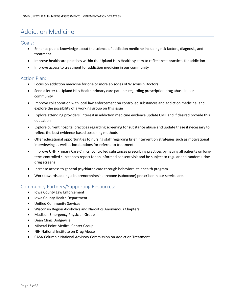## Addiction Medicine

Goals:

- Enhance public knowledge about the science of addiction medicine including risk factors, diagnosis, and treatment
- Improve healthcare practices within the Upland Hills Health system to reflect best practices for addiction
- Improve access to treatment for addiction medicine in our community

#### Action Plan:

- Focus on addiction medicine for one or more episodes of Wisconsin Doctors
- Send a letter to Upland Hills Health primary care patients regarding prescription drug abuse in our community
- Improve collaboration with local law enforcement on controlled substances and addiction medicine, and explore the possibility of a working group on this issue
- Explore attending providers' interest in addiction medicine evidence update CME and if desired provide this education
- Explore current hospital practices regarding screening for substance abuse and update these if necessary to reflect the best evidence-based screening methods
- Offer educational opportunities to nursing staff regarding brief intervention strategies such as motivational interviewing as well as local options for referral to treatment
- Improve UHH Primary Care Clinics' controlled substances prescribing practices by having all patients on longterm controlled substances report for an informed consent visit and be subject to regular and random urine drug screens
- Increase access to general psychiatric care through behavioral telehealth program
- Work towards adding a buprenorphine/naltrexone (suboxone) prescriber in our service area

#### Community Partners/Supporting Resources:

- Iowa County Law Enforcement
- Iowa County Health Department
- Unified Community Services
- Wisconsin Region Alcoholics and Narcotics Anonymous Chapters
- Madison Emergency Physician Group
- Dean Clinic Dodgeville
- Mineral Point Medical Center Group
- NIH National Institute on Drug Abuse
- CASA Columbia National Advisory Commission on Addiction Treatment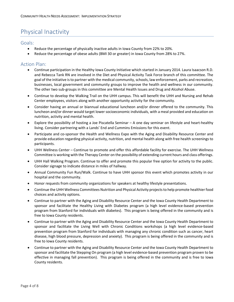## Physical Inactivity

#### Goals:

- Reduce the percentage of physically inactive adults in Iowa County from 22% to 20%.
- Reduce the percentage of obese adults (BMI 30 or greater) in Iowa County from 28% to 27%.

#### Action Plan:

- Continue participation in the Healthy Iowa County Initiative which started in January 2014. Laura Isaacson R.D. and Rebecca Tank RN are involved in the Diet and Physical Activity Task Force branch of this committee. The goal of the initiative is to partner with the medical community, schools, law enforcement, parks and recreation, businesses, local government and community groups to improve the health and wellness in our community. The other two sub-groups in this committee are Mental Health Issues and Drug and Alcohol Abuse.
- Continue to develop the Walking Trail on the UHH campus. This will benefit the UHH and Nursing and Rehab Center employees, visitors along with another opportunity activity for the community.
- Consider having an annual or biannual educational luncheon and/or dinner offered to the community. This luncheon and/or dinner would target lower socioeconomic individuals, with a meal provided and education on nutrition, activity and mental health.
- Explore the possibility of hosting a Joe Piscatella Seminar A one day seminar on lifestyle and heart-healthy living. Consider partnering with a Lands' End and Cummins Emissions for this event.
- Participate and co-sponsor the Health and Wellness Expo with the Aging and Disability Resource Center and provide education regarding physical activity, nutrition, and mental health along with free health screenings to participants.
- UHH Wellness Center Continue to promote and offer this affordable facility for exercise. The UHH Wellness Committee is working with the Therapy Center on the possibility of extending current hours and class offerings.
- UHH Hall Walking Program. Continue to offer and promote this popular free option for activity to the public. Consider signage to indicate distance in miles of hallway.
- Annual Community Fun Run/Walk. Continue to have UHH sponsor this event which promotes activity in our hospital and the community.
- Honor requests from community organizations for speakers at healthy lifestyle presentations.
- Continue the UHH Wellness Committees Nutrition and Physical Activity projects to help promote healthier food choices and activity options.
- Continue to partner with the Aging and Disability Resource Center and the Iowa County Health Department to sponsor and facilitate the Healthy Living with Diabetes program (a high level evidence-based prevention program from Stanford for individuals with diabetes). This program is being offered in the community and is free to Iowa County residents.
- Continue to partner with the Aging and Disability Resource Center and the Iowa County Health Department to sponsor and facilitate the Living Well with Chronic Conditions workshops (a high level evidence-based prevention program from Stanford for individuals with managing any chronic condition such as cancer, heart disease, high blood pressure, depression and anxiety). This program is being offered in the community and is free to Iowa County residents.
- Continue to partner with the Aging and Disability Resource Center and the Iowa County Health Department to sponsor and facilitate the Stepping On program (a high level evidence-based prevention program proven to be effective in managing fall prevention). This program is being offered in the community and is free to Iowa County residents.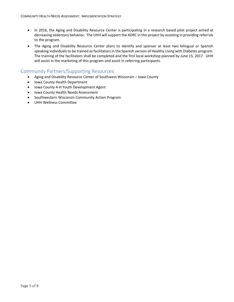- In 2016, the Aging and Disability Resource Center is participating in a research based pilot project aimed at decreasing sedentary behavior. The UHH will support the ADRC in this project by assisting in providing referrals to the program.
- The Aging and Disability Resource Center plans to identify and sponsor at least two bilingual or Spanish speaking individuals to be trained as facilitators in the Spanish version of Healthy Living with Diabetes program. The training of the facilitators shall be completed and the first local workshop planned by June 15, 2017. UHH will assist in the marketing of this program and assist in referring participants.

#### Community Partners/Supporting Resources:

- Aging and Disability Resource Center of Southwest Wisconsin Iowa County
- Iowa County Health Department
- Iowa County 4-H Youth Development Agent
- Iowa County Health Needs Assessment
- Southwestern Wisconsin Community Action Program
- UHH Wellness Committee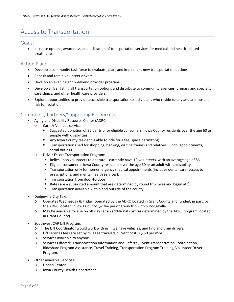### Access to Transportation

#### Goals:

• Increase options, awareness, and utilization of transportation services for medical and health-related treatments.

#### Action Plan:

- Develop a community task force to evaluate, plan, and implement new transportation options.
- Recruit and retain volunteer drivers.
- Develop an evening and weekend provider program.
- Develop a flyer listing all transportation options and distribute to community agencies, primary and specialty care clinics, and other health care providers.
- Explore opportunities to provide accessible transportation to individuals who reside rurally and are most at risk for isolation.

#### Community Partners/Supporting Resources:

- Aging and Disability Resource Center (ADRC)
	- o Care-A-Van bus service:
		- Suggested donation of \$5 per trip for eligible consumers: Iowa County residents over the age 60 or people with disabilities.
		- Any Iowa County resident is able to ride for a fee, space permitting.
		- Transportation used for shopping, banking, visiting friends and relatives, lunch, appointments, social outings.
	- o Driver Escort Transportation Program:
		- Relies upon volunteers to operate currently have 19 volunteers, with an average age of 86.
		- Eligible consumers: Iowa County residents over the age 60 or an adult with a disability.
		- Transportation only for non-emergency medical appointments (includes dental care, access to prescriptions, and mental health services).
		- **Transportation from door-to-door.**
		- Rates are a subsidized amount that are determined by round trip miles and begin at \$5.
		- **Transportation available within and outside of the county.**
- Dodgeville City Taxi:
	- o Operates Wednesday & Friday; operated by the ADRC located in Grant County and funded, in part, by the ADRC located in Iowa County, \$2 fee per one way trip within Dodgeville.
	- o May be available for use on off days at an additional cost (as determined by the ADRC program located in Grant County).
- Southwest CAP Lift Program:
	- o The Lift Coordinator would work with us if we have vehicles, and find and train drivers.
	- o Lift services fees are set by mileage traveled, current cost is \$.50 per mile.
	- o Services available to anyone.
	- o Services Offered: Transportation Information and Referral, Event Transportation Coordination, Rideshare Program Assistance, Travel Training, Transportation Program Training, Volunteer Driver Program.
- Other Available Services:
	- o Hodan Center
	- o Iowa County Health Department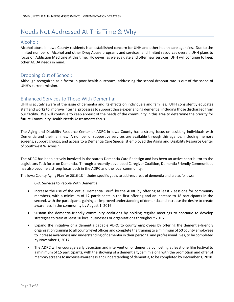## Needs Not Addressed At This Time & Why

#### Alcohol:

Alcohol abuse in Iowa County residents is an established concern for UHH and other health care agencies. Due to the limited number of Alcohol and other Drug Abuse programs and services, and limited resources overall, UHH plans to focus on Addiction Medicine at this time. However, as we evaluate and offer new services, UHH will continue to keep other AODA needs in mind.

#### Dropping Out of School:

Although recognized as a factor in poor health outcomes, addressing the school dropout rate is out of the scope of UHH's current mission.

#### Enhanced Services to Those With Dementia:

UHH is acutely aware of the issue of dementia and its effects on individuals and families. UHH consistently educates staff and works to improve internal processes to support those experiencing dementia, including those discharged from our facility. We will continue to keep abreast of the needs of the community in this area to determine the priority for future Community Health Needs Assessments focus.

The Aging and Disability Resource Center or ADRC in Iowa County has a strong focus on assisting individuals with Dementia and their families. A number of supportive services are available through this agency, including memory screens, support groups, and access to a Dementia Care Specialist employed the Aging and Disability Resource Center of Southwest Wisconsin.

The ADRC has been actively involved in the state's Dementia Care Redesign and has been an active contributor to the Legislators Task force on Dementia. Through a recently developed Caregiver Coalition, Dementia Friendly Communities has also become a strong focus both in the ADRC and the local community.

The Iowa County Aging Plan for 2016-18 includes specific goals to address areas of dementia and are as follows:

6-D. Services to People With Dementia

- Increase the use of the Virtual Dementia Tour® by the ADRC by offering at least 2 sessions for community members, with a minimum of 12 participants in the first offering and an increase to 18 participants in the second, with the participants gaining an improved understanding of dementia and increase the desire to create awareness in the community by August 1, 2016.
- Sustain the dementia-friendly community coalitions by holding regular meetings to continue to develop strategies to train at least 10 local businesses or organizations throughout 2016.
- Expand the initiative of a dementia capable ADRC to county employees by offering the dementia-friendly organization training to all county level offices and complete the training to a minimum of 50 county employees to increase awareness and understanding of dementia in their personal and professional lives, to be completed by November 1, 2017.
- The ADRC will encourage early detection and intervention of dementia by hosting at least one film festival to a minimum of 15 participants, with the showing of a dementia type film along with the promotion and offer of memory screens to increase awareness and understanding of dementia, to be completed by December 1, 2018.